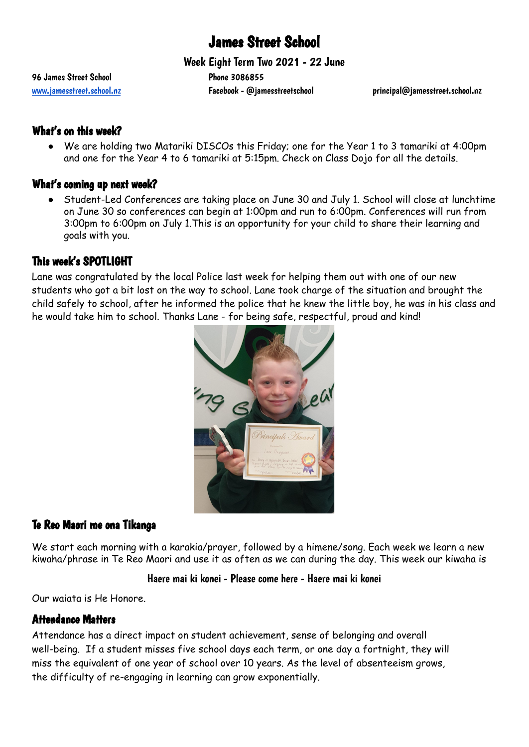# James Street School

Week Eight Term Two 2021 - 22 June

96 James Street School 20086855

[www.jamesstreet.school.nz](http://www.jamesstreet.school.nz) Facebook - @jamesstreetschool principal@jamesstreet.school.nz

## What's on this week?

We are holding two Matariki DISCOs this Friday; one for the Year 1 to 3 tamariki at 4:00pm and one for the Year 4 to 6 tamariki at 5:15pm. Check on Class Dojo for all the details.

### What's coming up next week?

● Student-Led Conferences are taking place on June 30 and July 1. School will close at lunchtime on June 30 so conferences can begin at 1:00pm and run to 6:00pm. Conferences will run from 3:00pm to 6:00pm on July 1.This is an opportunity for your child to share their learning and goals with you.

# This week's SPOTLIGHT

Lane was congratulated by the local Police last week for helping them out with one of our new students who got a bit lost on the way to school. Lane took charge of the situation and brought the child safely to school, after he informed the police that he knew the little boy, he was in his class and he would take him to school. Thanks Lane - for being safe, respectful, proud and kind!



# Te Reo Maori me ona Tikanga

We start each morning with a karakia/prayer, followed by a himene/song. Each week we learn a new kiwaha/phrase in Te Reo Maori and use it as often as we can during the day. This week our kiwaha is

### Haere mai ki konei - Please come here - Haere mai ki konei

Our waiata is He Honore.

## Attendance Matters

Attendance has a direct impact on student achievement, sense of belonging and overall well-being. If a student misses five school days each term, or one day a fortnight, they will miss the equivalent of one year of school over 10 years. As the level of absenteeism grows, the difficulty of re-engaging in learning can grow exponentially.